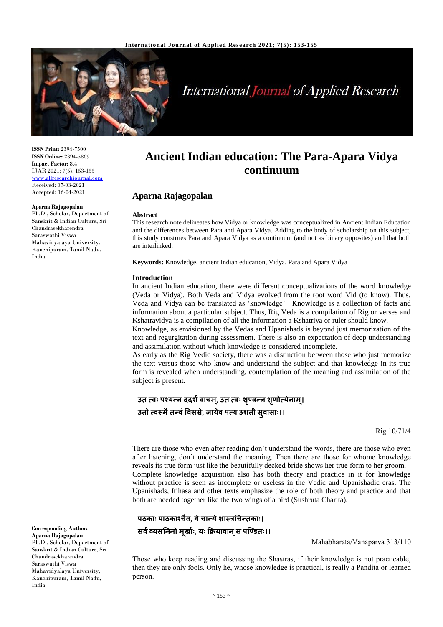**Aparna Rajagopalan**

**Abstract**

are interlinked.



# **International Journal of Applied Research**

**ISSN Print:** 2394-7500 **ISSN Online:** 2394-5869 **Impact Factor:** 8.4 IJAR 2021; 7(5): 153-155 [www.allresearchjournal.com](http://www.allresearchjournal.com/) Received: 07-03-2021 Accepted: 16-04-2021

#### **Aparna Rajagopalan**

Ph.D., Scholar, Department of Sanskrit & Indian Culture, Sri Chandrasekharendra Saraswathi Viswa Mahavidyalaya University, Kanchipuram, Tamil Nadu, India

> **Introduction** In ancient Indian education, there were different conceptualizations of the word knowledge (Veda or Vidya). Both Veda and Vidya evolved from the root word Vid (to know). Thus, Veda and Vidya can be translated as 'knowledge'. Knowledge is a collection of facts and information about a particular subject. Thus, Rig Veda is a compilation of Rig or verses and Kshatravidya is a compilation of all the information a Kshatriya or ruler should know.

**Keywords:** Knowledge, ancient Indian education, Vidya, Para and Apara Vidya

**Ancient Indian education: The Para-Apara Vidya continuum**

This research note delineates how Vidya or knowledge was conceptualized in Ancient Indian Education and the differences between Para and Apara Vidya. Adding to the body of scholarship on this subject, this study construes Para and Apara Vidya as a continuum (and not as binary opposites) and that both

Knowledge, as envisioned by the Vedas and Upanishads is beyond just memorization of the text and regurgitation during assessment. There is also an expectation of deep understanding and assimilation without which knowledge is considered incomplete.

As early as the Rig Vedic society, there was a distinction between those who just memorize the text versus those who know and understand the subject and that knowledge in its true form is revealed when understanding, contemplation of the meaning and assimilation of the subject is present.

### **उत त्वः पश्यन्न ददर्शवाचम**, **्उत त्वः र्ण्ृवन्न र्णृ ोत्येनाम।् उतो त्वस्मैतन्वंववसस्रे**, **जायेव पत्य उर्ती सुवासाः।।**

Rig 10/71/4

There are those who even after reading don't understand the words, there are those who even after listening, don't understand the meaning. Then there are those for whome knowledge reveals its true form just like the beautifully decked bride shows her true form to her groom. Complete knowledge acquisition also has both theory and practice in it for knowledge without practice is seen as incomplete or useless in the Vedic and Upanishadic eras. The Upanishads, Itihasa and other texts emphasize the role of both theory and practice and that both are needed together like the two wings of a bird (Sushruta Charita).

## **पठकाः पाठकाश्चैव**, **येचान्येर्ास्रचचन्तकाः। सवशव्यसनननो मूराशः**, **यः क्रियावान्स पण्ण्ितः।।**

Mahabharata/Vanaparva 313/110

Those who keep reading and discussing the Shastras, if their knowledge is not practicable, then they are only fools. Only he, whose knowledge is practical, is really a Pandita or learned person.

**Corresponding Author: Aparna Rajagopalan** Ph.D., Scholar, Department of Sanskrit & Indian Culture, Sri Chandrasekharendra Saraswathi Viswa Mahavidyalaya University, Kanchipuram, Tamil Nadu, India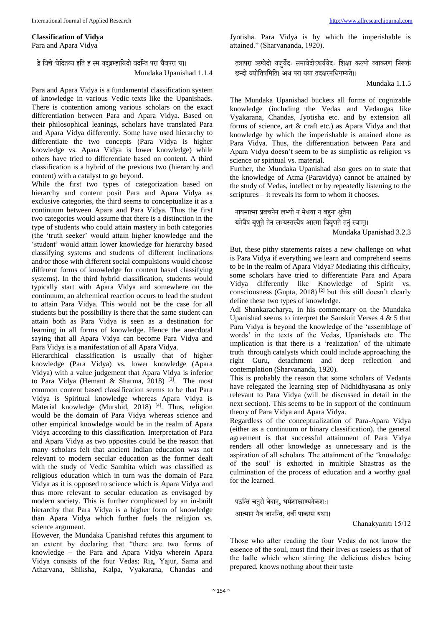#### **Classification of Vidya**

Para and Apara Vidya

द्वे विद्ये चेदितव्य इति ह स्म यदब्रम्हाविदो वदन्ति परा चैवपरा च।। Mundaka Upanishad 1.1.4

Para and Apara Vidya is a fundamental classification system of knowledge in various Vedic texts like the Upanishads. There is contention among various scholars on the exact differentiation between Para and Apara Vidya. Based on their philosophical leanings, scholars have translated Para and Apara Vidya differently. Some have used hierarchy to differentiate the two concepts (Para Vidya is higher knowledge vs. Apara Vidya is lower knowledge) while others have tried to differentiate based on content. A third classification is a hybrid of the previous two (hierarchy and content) with a catalyst to go beyond.

While the first two types of categorization based on hierarchy and content posit Para and Apara Vidya as exclusive categories, the third seems to conceptualize it as a continuum between Apara and Para Vidya. Thus the first two categories would assume that there is a distinction in the type of students who could attain mastery in both categories (the 'truth seeker' would attain higher knowledge and the 'student' would attain lower knowledge for hierarchy based classifying systems and students of different inclinations and/or those with different social compulsions would choose different forms of knowledge for content based classifying systems). In the third hybrid classification, students would typically start with Apara Vidya and somewhere on the continuum, an alchemical reaction occurs to lead the student to attain Para Vidya. This would not be the case for all students but the possibility is there that the same student can attain both as Para Vidya is seen as a destination for learning in all forms of knowledge. Hence the anecdotal saying that all Apara Vidya can become Para Vidya and Para Vidya is a manifestation of all Apara Vidya.

Hierarchical classification is usually that of higher knowledge (Para Vidya) vs. lower knowledge (Apara Vidya) with a value judgement that Apara Vidya is inferior to Para Vidya (Hemant & Sharma, 2018) [3]. The most common content based classification seems to be that Para Vidya is Spiritual knowledge whereas Apara Vidya is Material knowledge (Murshid, 2018)<sup>[4]</sup>. Thus, religion would be the domain of Para Vidya whereas science and other empirical knowledge would be in the realm of Apara Vidya according to this classification. Interpretation of Para and Apara Vidya as two opposites could be the reason that many scholars felt that ancient Indian education was not relevant to modern secular education as the former dealt with the study of Vedic Samhita which was classified as religious education which in turn was the domain of Para Vidya as it is opposed to science which is Apara Vidya and thus more relevant to secular education as envisaged by modern society. This is further complicated by an in-built hierarchy that Para Vidya is a higher form of knowledge than Apara Vidya which further fuels the religion vs. science argument.

However, the Mundaka Upanishad refutes this argument to an extent by declaring that "there are two forms of knowledge – the Para and Apara Vidya wherein Apara Vidya consists of the four Vedas; Rig, Yajur, Sama and Atharvana, Shiksha, Kalpa, Vyakarana, Chandas and Jyotisha. Para Vidya is by which the imperishable is attained." (Sharvananda, 1920).

तत्रापरा ऋग्वेदो यजुर्वेदः समावेदोऽथर्ववेदः शिक्षा कल्पो व्याकरणं निरूक्तं छतिो ज्योवतषवमवत। अथ परा यया तिक्षरमविगम्यते।।

Mundaka 1.1.5

The Mundaka Upanishad buckets all forms of cognizable knowledge (including the Vedas and Vedangas like Vyakarana, Chandas, Jyotisha etc. and by extension all forms of science, art & craft etc.) as Apara Vidya and that knowledge by which the imperishable is attained alone as Para Vidya. Thus, the differentiation between Para and Apara Vidya doesn't seem to be as simplistic as religion vs science or spiritual vs. material.

Further, the Mundaka Upanishad also goes on to state that the knowledge of Atma (Paravidya) cannot be attained by the study of Vedas, intellect or by repeatedly listening to the scriptures – it reveals its form to whom it chooses.

नायमात्मा प्रवचनेन लभ्यो न मेधया न बहुना श्रुतेन। यमेवैष बृणुते तेन लभ्यस्तस्यैष आत्मा विवृणते तनुं स्वाम्।।

Mundaka Upanishad 3.2.3

But, these pithy statements raises a new challenge on what is Para Vidya if everything we learn and comprehend seems to be in the realm of Apara Vidya? Mediating this difficulty, some scholars have tried to differentiate Para and Apara Vidya differently like Knowledge of Spirit vs. consciousness (Gupta, 2018)<sup>[2]</sup> but this still doesn't clearly define these two types of knowledge.

Adi Shankaracharya, in his commentary on the Mundaka Upanishad seems to interpret the Sanskrit Verses 4 & 5 that Para Vidya is beyond the knowledge of the 'assemblage of words' in the texts of the Vedas, Upanishads etc. The implication is that there is a 'realization' of the ultimate truth through catalysts which could include approaching the right Guru, detachment and deep reflection and contemplation (Sharvananda, 1920).

This is probably the reason that some scholars of Vedanta have relegated the learning step of Nidhidhyasana as only relevant to Para Vidya (will be discussed in detail in the next section). This seems to be in support of the continuum theory of Para Vidya and Apara Vidya.

Regardless of the conceptualization of Para-Apara Vidya (either as a continuum or binary classification), the general agreement is that successful attainment of Para Vidya renders all other knowledge as unnecessary and is the aspiration of all scholars. The attainment of the 'knowledge of the soul' is exhorted in multiple Shastras as the culmination of the process of education and a worthy goal for the learned.

पठन्ति चतरो वेदान, धर्मशास्त्राण्यनेकशः।

आत्मानं नैव जानन्ति, दर्वी पाकरसं यथा।।

Chanakyaniti 15/12

Those who after reading the four Vedas do not know the essence of the soul, must find their lives as useless as that of the ladle which when stirring the delicious dishes being prepared, knows nothing about their taste